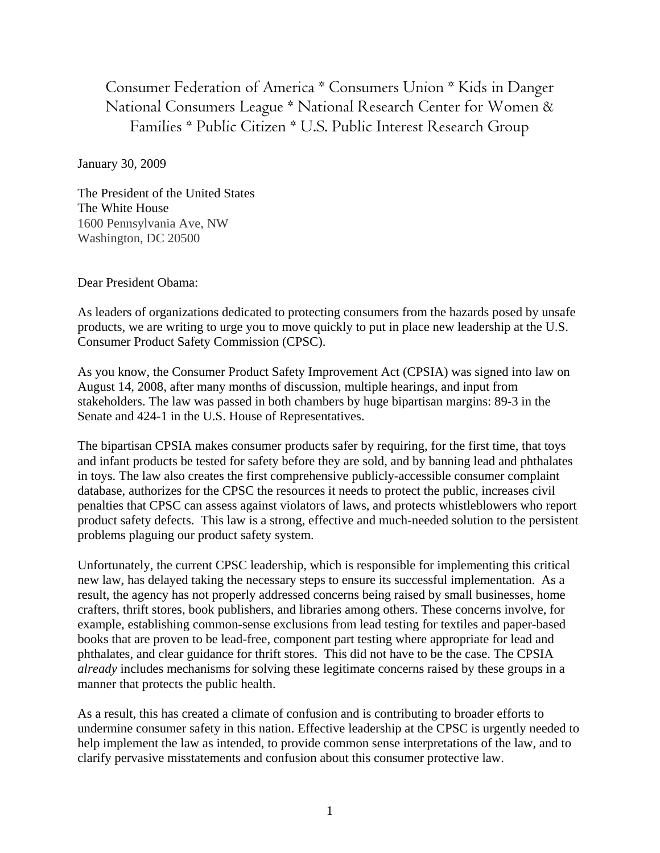Consumer Federation of America \* Consumers Union \* Kids in Danger National Consumers League \* National Research Center for Women & Families \* Public Citizen \* U.S. Public Interest Research Group

January 30, 2009

The President of the United States The White House 1600 Pennsylvania Ave, NW Washington, DC 20500

Dear President Obama:

As leaders of organizations dedicated to protecting consumers from the hazards posed by unsafe products, we are writing to urge you to move quickly to put in place new leadership at the U.S. Consumer Product Safety Commission (CPSC).

As you know, the Consumer Product Safety Improvement Act (CPSIA) was signed into law on August 14, 2008, after many months of discussion, multiple hearings, and input from stakeholders. The law was passed in both chambers by huge bipartisan margins: 89-3 in the Senate and 424-1 in the U.S. House of Representatives.

The bipartisan CPSIA makes consumer products safer by requiring, for the first time, that toys and infant products be tested for safety before they are sold, and by banning lead and phthalates in toys. The law also creates the first comprehensive publicly-accessible consumer complaint database, authorizes for the CPSC the resources it needs to protect the public, increases civil penalties that CPSC can assess against violators of laws, and protects whistleblowers who report product safety defects. This law is a strong, effective and much-needed solution to the persistent problems plaguing our product safety system.

Unfortunately, the current CPSC leadership, which is responsible for implementing this critical new law, has delayed taking the necessary steps to ensure its successful implementation. As a result, the agency has not properly addressed concerns being raised by small businesses, home crafters, thrift stores, book publishers, and libraries among others. These concerns involve, for example, establishing common-sense exclusions from lead testing for textiles and paper-based books that are proven to be lead-free, component part testing where appropriate for lead and phthalates, and clear guidance for thrift stores. This did not have to be the case. The CPSIA *already* includes mechanisms for solving these legitimate concerns raised by these groups in a manner that protects the public health.

As a result, this has created a climate of confusion and is contributing to broader efforts to undermine consumer safety in this nation. Effective leadership at the CPSC is urgently needed to help implement the law as intended, to provide common sense interpretations of the law, and to clarify pervasive misstatements and confusion about this consumer protective law.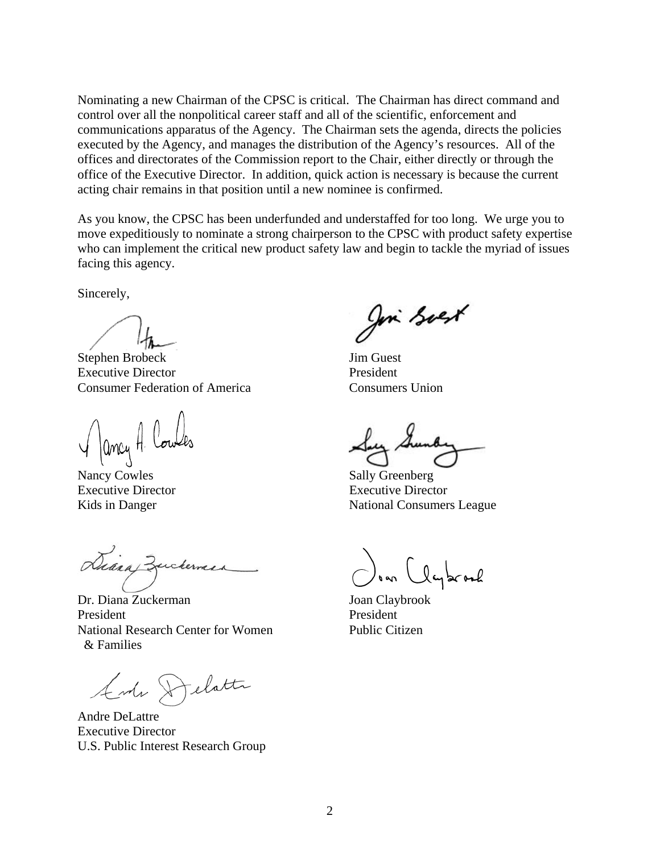Nominating a new Chairman of the CPSC is critical. The Chairman has direct command and control over all the nonpolitical career staff and all of the scientific, enforcement and communications apparatus of the Agency. The Chairman sets the agenda, directs the policies executed by the Agency, and manages the distribution of the Agency's resources. All of the offices and directorates of the Commission report to the Chair, either directly or through the office of the Executive Director. In addition, quick action is necessary is because the current acting chair remains in that position until a new nominee is confirmed.

As you know, the CPSC has been underfunded and understaffed for too long. We urge you to move expeditiously to nominate a strong chairperson to the CPSC with product safety expertise who can implement the critical new product safety law and begin to tackle the myriad of issues facing this agency.

Sincerely,

Stephen Brobeck Jim Guest Executive Director President Consumer Federation of America Consumers Union

V ancy H Lowles Lug Lund<br>Nancy Cowles Sally Greenberg

 Dr. Diana Zuckerman Joan Claybrook eickerne

President President National Research Center for Women Public Citizen & Families

Ander Delatte

Andre DeLattre Executive Director U.S. Public Interest Research Group

Join Soex

Executive Director Executive Director Kids in Danger National Consumers League